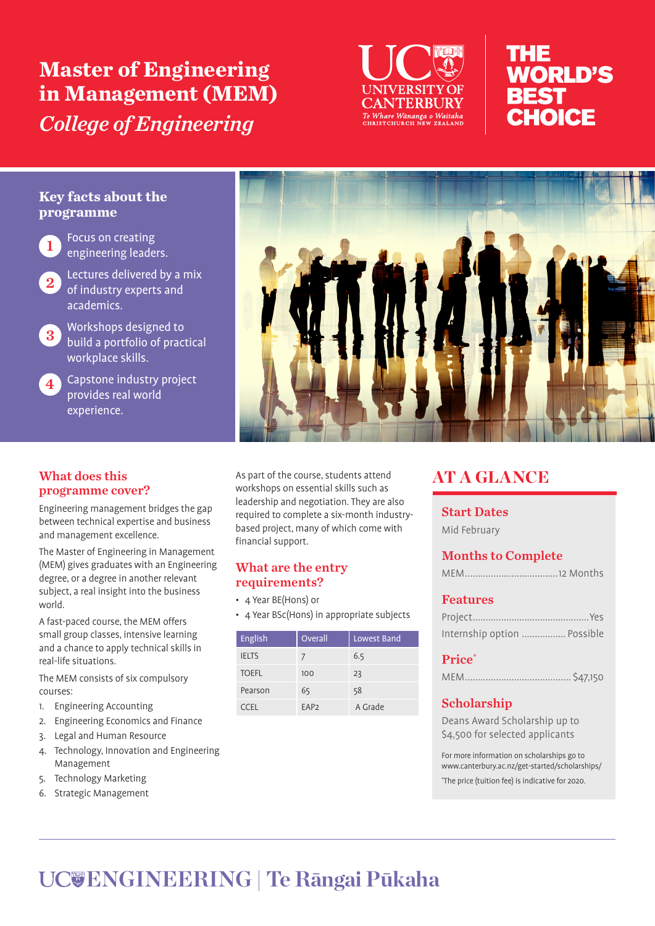**Master of Engineering in Management (MEM)**  *College of Engineering*



# nHE **WORLD'S BEST** CHOICE

### **Key facts about the programme**



Focus on creating engineering leaders.

Lectures delivered by a mix of industry experts and academics.



<sup>3</sup> Workshops designed to build a portfolio of practical workplace skills.

**4** Capstone industry project provides real world experience.



#### What does this programme cover?

Engineering management bridges the gap between technical expertise and business and management excellence.

The Master of Engineering in Management (MEM) gives graduates with an Engineering degree, or a degree in another relevant subject, a real insight into the business world.

A fast-paced course, the MEM offers small group classes, intensive learning and a chance to apply technical skills in real-life situations.

The MEM consists of six compulsory courses:

- 1. Engineering Accounting
- 2. Engineering Economics and Finance
- 3. Legal and Human Resource
- 4. Technology, Innovation and Engineering Management
- 5. Technology Marketing
- 6. Strategic Management

As part of the course, students attend workshops on essential skills such as leadership and negotiation. They are also required to complete a six-month industrybased project, many of which come with financial support.

#### What are the entry requirements?

• 4 Year BE(Hons) or

• 4 Year BSc(Hons) in appropriate subjects

| English      | Overall          | Lowest Band |
|--------------|------------------|-------------|
| <b>IELTS</b> |                  | 6.5         |
| <b>TOEFL</b> | 100              | 23          |
| Pearson      | 65               | 58          |
| CCEL         | EAP <sub>2</sub> | A Grade     |

# AT A GLANCE

Start Dates

Mid February

# Months to Complete

|--|

## Features

| Internship option  Possible |  |
|-----------------------------|--|

#### Price\*

|--|--|

# Scholarship

Deans Award Scholarship up to \$4,500 for selected applicants

For more information on scholarships go to www.canterbury.ac.nz/get-started/scholarships/ \* The price (tuition fee) is indicative for 2020.

# **ENGINEERING | Te Rāngai Pūkaha**